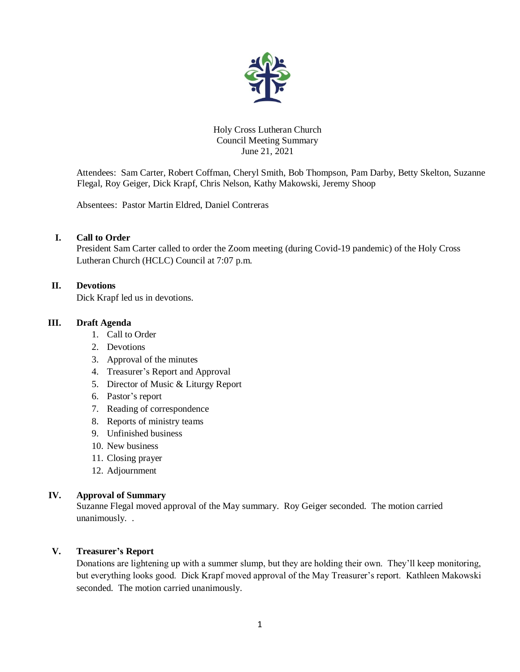

#### Holy Cross Lutheran Church Council Meeting Summary June 21, 2021

Attendees: Sam Carter, Robert Coffman, Cheryl Smith, Bob Thompson, Pam Darby, Betty Skelton, Suzanne Flegal, Roy Geiger, Dick Krapf, Chris Nelson, Kathy Makowski, Jeremy Shoop

Absentees: Pastor Martin Eldred, Daniel Contreras

# **I. Call to Order**

President Sam Carter called to order the Zoom meeting (during Covid-19 pandemic) of the Holy Cross Lutheran Church (HCLC) Council at 7:07 p.m.

## **II. Devotions**

Dick Krapf led us in devotions.

# **III. Draft Agenda**

- 1. Call to Order
- 2. Devotions
- 3. Approval of the minutes
- 4. Treasurer's Report and Approval
- 5. Director of Music & Liturgy Report
- 6. Pastor's report
- 7. Reading of correspondence
- 8. Reports of ministry teams
- 9. Unfinished business
- 10. New business
- 11. Closing prayer
- 12. Adjournment

## **IV. Approval of Summary**

Suzanne Flegal moved approval of the May summary. Roy Geiger seconded. The motion carried unanimously. .

# **V. Treasurer's Report**

Donations are lightening up with a summer slump, but they are holding their own. They'll keep monitoring, but everything looks good. Dick Krapf moved approval of the May Treasurer's report. Kathleen Makowski seconded. The motion carried unanimously.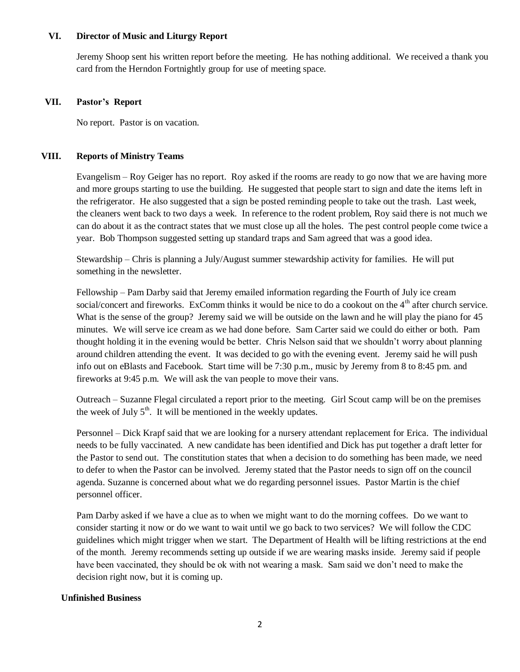#### **VI. Director of Music and Liturgy Report**

Jeremy Shoop sent his written report before the meeting. He has nothing additional. We received a thank you card from the Herndon Fortnightly group for use of meeting space.

#### **VII. Pastor's Report**

No report. Pastor is on vacation.

## **VIII. Reports of Ministry Teams**

Evangelism – Roy Geiger has no report. Roy asked if the rooms are ready to go now that we are having more and more groups starting to use the building. He suggested that people start to sign and date the items left in the refrigerator. He also suggested that a sign be posted reminding people to take out the trash. Last week, the cleaners went back to two days a week. In reference to the rodent problem, Roy said there is not much we can do about it as the contract states that we must close up all the holes. The pest control people come twice a year. Bob Thompson suggested setting up standard traps and Sam agreed that was a good idea.

Stewardship – Chris is planning a July/August summer stewardship activity for families. He will put something in the newsletter.

Fellowship – Pam Darby said that Jeremy emailed information regarding the Fourth of July ice cream social/concert and fireworks. ExComm thinks it would be nice to do a cookout on the 4<sup>th</sup> after church service. What is the sense of the group? Jeremy said we will be outside on the lawn and he will play the piano for 45 minutes. We will serve ice cream as we had done before. Sam Carter said we could do either or both. Pam thought holding it in the evening would be better. Chris Nelson said that we shouldn't worry about planning around children attending the event. It was decided to go with the evening event. Jeremy said he will push info out on eBlasts and Facebook. Start time will be 7:30 p.m., music by Jeremy from 8 to 8:45 pm. and fireworks at 9:45 p.m. We will ask the van people to move their vans.

Outreach – Suzanne Flegal circulated a report prior to the meeting. Girl Scout camp will be on the premises the week of July  $5<sup>th</sup>$ . It will be mentioned in the weekly updates.

Personnel – Dick Krapf said that we are looking for a nursery attendant replacement for Erica. The individual needs to be fully vaccinated. A new candidate has been identified and Dick has put together a draft letter for the Pastor to send out. The constitution states that when a decision to do something has been made, we need to defer to when the Pastor can be involved. Jeremy stated that the Pastor needs to sign off on the council agenda. Suzanne is concerned about what we do regarding personnel issues. Pastor Martin is the chief personnel officer.

Pam Darby asked if we have a clue as to when we might want to do the morning coffees. Do we want to consider starting it now or do we want to wait until we go back to two services? We will follow the CDC guidelines which might trigger when we start. The Department of Health will be lifting restrictions at the end of the month. Jeremy recommends setting up outside if we are wearing masks inside. Jeremy said if people have been vaccinated, they should be ok with not wearing a mask. Sam said we don't need to make the decision right now, but it is coming up.

## **Unfinished Business**